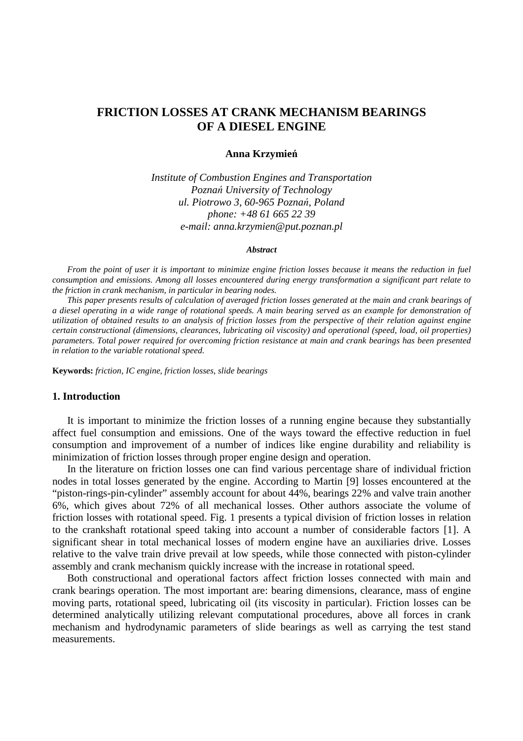# **FRICTION LOSSES AT CRANK MECHANISM BEARINGS OF A DIESEL ENGINE**

### **Anna Krzymie**ń

*Institute of Combustion Engines and Transportation Pozna*ń *University of Technology ul. Piotrowo 3, 60-965 Pozna*ń*, Poland phone: +48 61 665 22 39 e-mail: anna.krzymien@put.poznan.pl* 

#### *Abstract*

*From the point of user it is important to minimize engine friction losses because it means the reduction in fuel consumption and emissions. Among all losses encountered during energy transformation a significant part relate to the friction in crank mechanism, in particular in bearing nodes.* 

*This paper presents results of calculation of averaged friction losses generated at the main and crank bearings of a diesel operating in a wide range of rotational speeds. A main bearing served as an example for demonstration of utilization of obtained results to an analysis of friction losses from the perspective of their relation against engine certain constructional (dimensions, clearances, lubricating oil viscosity) and operational (speed, load, oil properties) parameters. Total power required for overcoming friction resistance at main and crank bearings has been presented in relation to the variable rotational speed.* 

**Keywords:** *friction, IC engine, friction losses, slide bearings* 

### **1. Introduction**

 It is important to minimize the friction losses of a running engine because they substantially affect fuel consumption and emissions. One of the ways toward the effective reduction in fuel consumption and improvement of a number of indices like engine durability and reliability is minimization of friction losses through proper engine design and operation.

 In the literature on friction losses one can find various percentage share of individual friction nodes in total losses generated by the engine. According to Martin [9] losses encountered at the "piston-rings-pin-cylinder" assembly account for about 44%, bearings 22% and valve train another 6%, which gives about 72% of all mechanical losses. Other authors associate the volume of friction losses with rotational speed. Fig. 1 presents a typical division of friction losses in relation to the crankshaft rotational speed taking into account a number of considerable factors [1]. A significant shear in total mechanical losses of modern engine have an auxiliaries drive. Losses relative to the valve train drive prevail at low speeds, while those connected with piston-cylinder assembly and crank mechanism quickly increase with the increase in rotational speed.

 Both constructional and operational factors affect friction losses connected with main and crank bearings operation. The most important are: bearing dimensions, clearance, mass of engine moving parts, rotational speed, lubricating oil (its viscosity in particular). Friction losses can be determined analytically utilizing relevant computational procedures, above all forces in crank mechanism and hydrodynamic parameters of slide bearings as well as carrying the test stand measurements.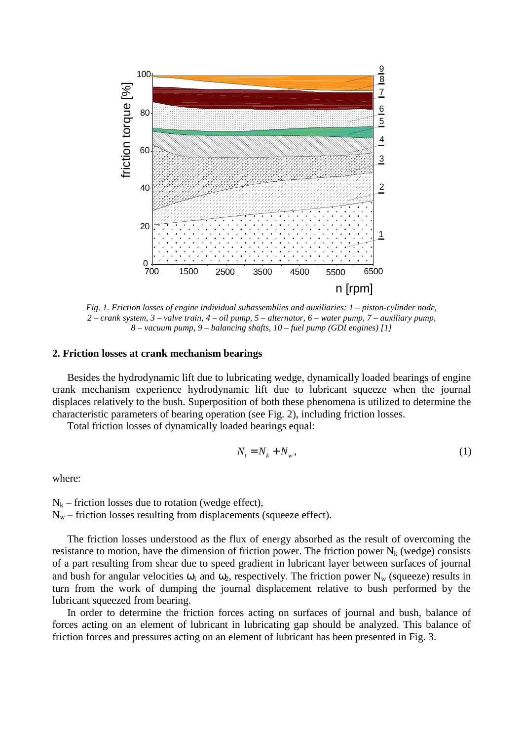

*Fig. 1. Friction losses of engine individual subassemblies and auxiliaries: 1 – piston-cylinder node, 2 – crank system, 3 – valve train, 4 – oil pump, 5 – alternator, 6 – water pump, 7 – auxiliary pump, 8 – vacuum pump, 9 – balancing shafts, 10 – fuel pump (GDI engines) [1]* 

#### **2. Friction losses at crank mechanism bearings**

Besides the hydrodynamic lift due to lubricating wedge, dynamically loaded bearings of engine crank mechanism experience hydrodynamic lift due to lubricant squeeze when the journal displaces relatively to the bush. Superposition of both these phenomena is utilized to determine the characteristic parameters of bearing operation (see Fig. 2), including friction losses.

Total friction losses of dynamically loaded bearings equal:

$$
N_t = N_k + N_w, \tag{1}
$$

where:

 $N_k$  – friction losses due to rotation (wedge effect),  $N_w$  – friction losses resulting from displacements (squeeze effect).

The friction losses understood as the flux of energy absorbed as the result of overcoming the resistance to motion, have the dimension of friction power. The friction power  $N_k$  (wedge) consists of a part resulting from shear due to speed gradient in lubricant layer between surfaces of journal and bush for angular velocities  $\omega_1$  and  $\omega_2$ , respectively. The friction power N<sub>w</sub> (squeeze) results in turn from the work of dumping the journal displacement relative to bush performed by the lubricant squeezed from bearing.

In order to determine the friction forces acting on surfaces of journal and bush, balance of forces acting on an element of lubricant in lubricating gap should be analyzed. This balance of friction forces and pressures acting on an element of lubricant has been presented in Fig. 3.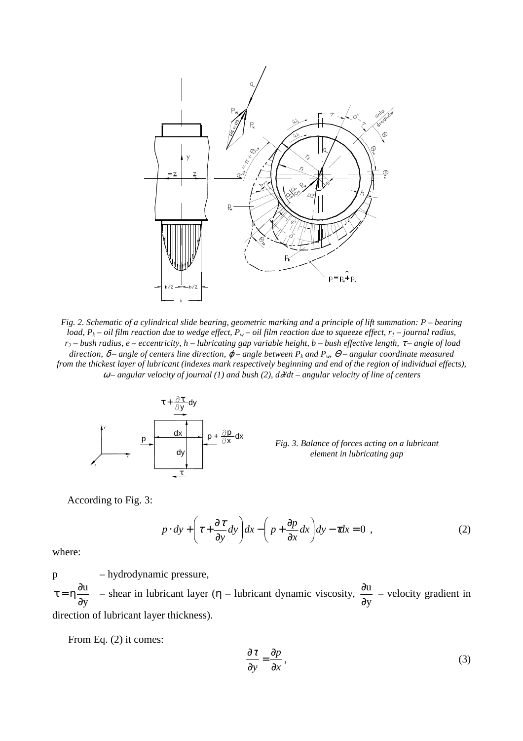

*Fig. 2. Schematic of a cylindrical slide bearing, geometric marking and a principle of lift summation: P – bearing load, P<sup>k</sup> – oil film reaction due to wedge effect, Pw – oil film reaction due to squeeze effect, r1 – journal radius, r2 – bush radius, e – eccentricity, h – lubricating gap variable height, b – bush effective length,* τ *– angle of load*   $direction, \delta$  – angle of centers line direction,  $\varphi$  – angle between  $P_k$  and  $P_w$ ,  $\Theta$  – angular coordinate measured *from the thickest layer of lubricant (indexes mark respectively beginning and end of the region of individual effects),*  <sup>ω</sup> *– angular velocity of journal (1) and bush (2), d*∂*/dt – angular velocity of line of centers* 



*Fig. 3. Balance of forces acting on a lubricant element in lubricating gap* 

According to Fig. 3:

$$
p \cdot dy + \left(\tau + \frac{\partial \tau}{\partial y} dy\right) dx - \left(p + \frac{\partial p}{\partial x} dx\right) dy - \tau dx = 0 \quad , \tag{2}
$$

where:

p – hydrodynamic pressure, y u ∂ ∂  $\tau = \eta \frac{\partial u}{\partial x}$  – shear in lubricant layer ( $\eta$  – lubricant dynamic viscosity, y u ∂  $\frac{\partial u}{\partial x}$  – velocity gradient in direction of lubricant layer thickness).

From Eq. (2) it comes:

$$
\frac{\partial \tau}{\partial y} = \frac{\partial p}{\partial x},\tag{3}
$$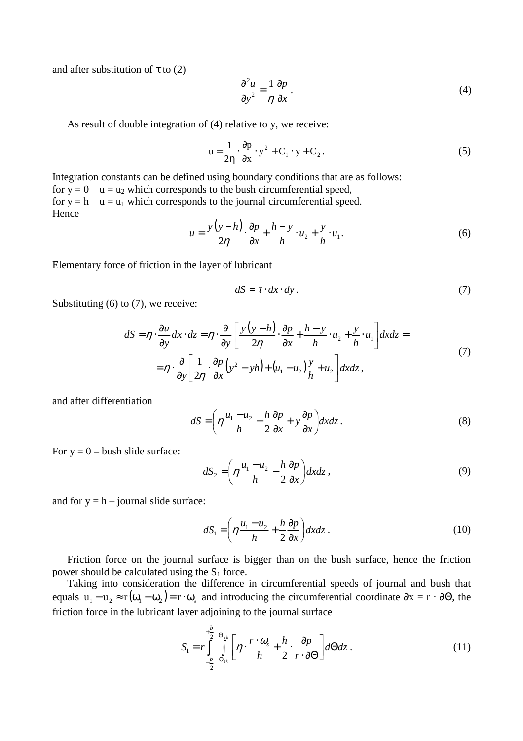and after substitution of  $\tau$  to (2)

$$
\frac{\partial^2 u}{\partial y^2} = \frac{1}{\eta} \frac{\partial p}{\partial x} \,. \tag{4}
$$

As result of double integration of (4) relative to y, we receive:

$$
u = \frac{1}{2\eta} \cdot \frac{\partial p}{\partial x} \cdot y^2 + C_1 \cdot y + C_2.
$$
 (5)

Integration constants can be defined using boundary conditions that are as follows: for  $y = 0$  u = u<sub>2</sub> which corresponds to the bush circumferential speed, for  $y = h$  u = u<sub>1</sub> which corresponds to the journal circumferential speed. Hence

$$
u = \frac{y(y-h)}{2\eta} \cdot \frac{\partial p}{\partial x} + \frac{h-y}{h} \cdot u_2 + \frac{y}{h} \cdot u_1.
$$
 (6)

Elementary force of friction in the layer of lubricant

$$
dS = \tau \cdot dx \cdot dy. \tag{7}
$$

Substituting  $(6)$  to  $(7)$ , we receive:

$$
dS = \eta \cdot \frac{\partial u}{\partial y} dx \cdot dz = \eta \cdot \frac{\partial}{\partial y} \left[ \frac{y(y-h)}{2\eta} \cdot \frac{\partial p}{\partial x} + \frac{h-y}{h} \cdot u_2 + \frac{y}{h} \cdot u_1 \right] dx dz =
$$
  
=  $\eta \cdot \frac{\partial}{\partial y} \left[ \frac{1}{2\eta} \cdot \frac{\partial p}{\partial x} (y^2 - yh) + (u_1 - u_2) \frac{y}{h} + u_2 \right] dx dz,$  (7)

and after differentiation

$$
dS = \left(\eta \frac{u_1 - u_2}{h} - \frac{h}{2} \frac{\partial p}{\partial x} + y \frac{\partial p}{\partial x}\right) dxdz.
$$
 (8)

For  $y = 0$  – bush slide surface:

$$
dS_2 = \left(\eta \frac{u_1 - u_2}{h} - \frac{h}{2} \frac{\partial p}{\partial x}\right) dxdz ,
$$
\n(9)

and for  $y = h -$  journal slide surface:

$$
dS_1 = \left(\eta \frac{u_1 - u_2}{h} + \frac{h}{2} \frac{\partial p}{\partial x}\right) dxdz \tag{10}
$$

Friction force on the journal surface is bigger than on the bush surface, hence the friction power should be calculated using the  $S_1$  force.

Taking into consideration the difference in circumferential speeds of journal and bush that equals  $u_1 - u_2 \approx r(\omega_1 - \omega_2) = r \cdot \omega_s$  and introducing the circumferential coordinate  $\partial x = r \cdot \partial \Theta$ , the friction force in the lubricant layer adjoining to the journal surface

$$
S_1 = r \int_{-\frac{b}{2}}^{+\frac{b}{2}} \int_{\Theta_{1k}}^{\Theta_{2k}} \left[ \eta \cdot \frac{r \cdot \omega_s}{h} + \frac{h}{2} \cdot \frac{\partial p}{r \cdot \partial \Theta} \right] d\Theta dz \,. \tag{11}
$$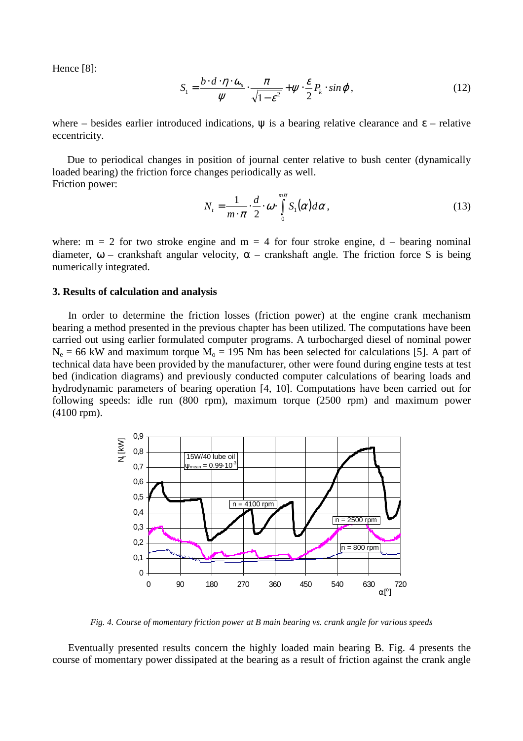Hence [8]:

$$
S_1 = \frac{b \cdot d \cdot \eta \cdot \omega_s}{\psi} \cdot \frac{\pi}{\sqrt{1 - \varepsilon^2}} + \psi \cdot \frac{\varepsilon}{2} P_k \cdot \sin \varphi, \qquad (12)
$$

where – besides earlier introduced indications,  $\psi$  is a bearing relative clearance and  $\epsilon$  – relative eccentricity.

Due to periodical changes in position of journal center relative to bush center (dynamically loaded bearing) the friction force changes periodically as well. Friction power:

$$
N_{t} = \frac{1}{m \cdot \pi} \cdot \frac{d}{2} \cdot \omega \cdot \int_{0}^{m\pi} S_{1}(\alpha) d\alpha,
$$
 (13)

where:  $m = 2$  for two stroke engine and  $m = 4$  for four stroke engine,  $d$  – bearing nominal diameter,  $\omega$  – crankshaft angular velocity,  $\alpha$  – crankshaft angle. The friction force S is being numerically integrated.

## **3. Results of calculation and analysis**

In order to determine the friction losses (friction power) at the engine crank mechanism bearing a method presented in the previous chapter has been utilized. The computations have been carried out using earlier formulated computer programs. A turbocharged diesel of nominal power  $N_e = 66$  kW and maximum torque  $M_o = 195$  Nm has been selected for calculations [5]. A part of technical data have been provided by the manufacturer, other were found during engine tests at test bed (indication diagrams) and previously conducted computer calculations of bearing loads and hydrodynamic parameters of bearing operation [4, 10]. Computations have been carried out for following speeds: idle run (800 rpm), maximum torque (2500 rpm) and maximum power (4100 rpm).



*Fig. 4. Course of momentary friction power at B main bearing vs. crank angle for various speeds* 

Eventually presented results concern the highly loaded main bearing B. Fig. 4 presents the course of momentary power dissipated at the bearing as a result of friction against the crank angle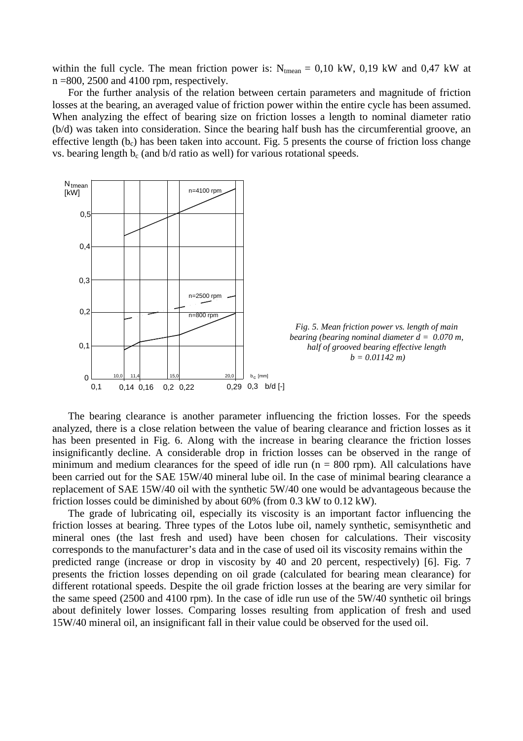within the full cycle. The mean friction power is:  $N_{tmean} = 0.10$  kW, 0.19 kW and 0.47 kW at  $n = 800$ , 2500 and 4100 rpm, respectively.

For the further analysis of the relation between certain parameters and magnitude of friction losses at the bearing, an averaged value of friction power within the entire cycle has been assumed. When analyzing the effect of bearing size on friction losses a length to nominal diameter ratio (b/d) was taken into consideration. Since the bearing half bush has the circumferential groove, an effective length  $(b<sub>c</sub>)$  has been taken into account. Fig. 5 presents the course of friction loss change vs. bearing length  $b_c$  (and  $b/d$  ratio as well) for various rotational speeds.



The bearing clearance is another parameter influencing the friction losses. For the speeds analyzed, there is a close relation between the value of bearing clearance and friction losses as it has been presented in Fig. 6. Along with the increase in bearing clearance the friction losses insignificantly decline. A considerable drop in friction losses can be observed in the range of minimum and medium clearances for the speed of idle run ( $n = 800$  rpm). All calculations have been carried out for the SAE 15W/40 mineral lube oil. In the case of minimal bearing clearance a replacement of SAE 15W/40 oil with the synthetic 5W/40 one would be advantageous because the friction losses could be diminished by about 60% (from 0.3 kW to 0.12 kW).

The grade of lubricating oil, especially its viscosity is an important factor influencing the friction losses at bearing. Three types of the Lotos lube oil, namely synthetic, semisynthetic and mineral ones (the last fresh and used) have been chosen for calculations. Their viscosity corresponds to the manufacturer's data and in the case of used oil its viscosity remains within the predicted range (increase or drop in viscosity by 40 and 20 percent, respectively) [6]. Fig. 7 presents the friction losses depending on oil grade (calculated for bearing mean clearance) for different rotational speeds. Despite the oil grade friction losses at the bearing are very similar for the same speed (2500 and 4100 rpm). In the case of idle run use of the 5W/40 synthetic oil brings about definitely lower losses. Comparing losses resulting from application of fresh and used 15W/40 mineral oil, an insignificant fall in their value could be observed for the used oil.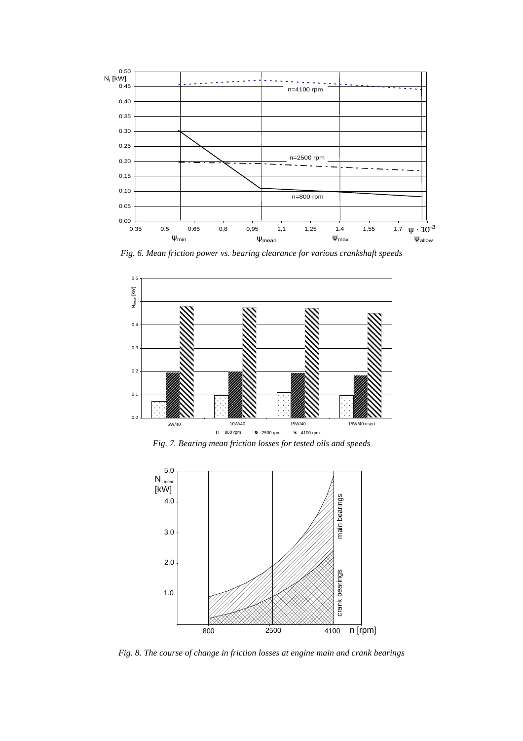

*Fig. 6. Mean friction power vs. bearing clearance for various crankshaft speeds* 



*Fig. 7. Bearing mean friction losses for tested oils and speeds* 



*Fig. 8. The course of change in friction losses at engine main and crank bearings*